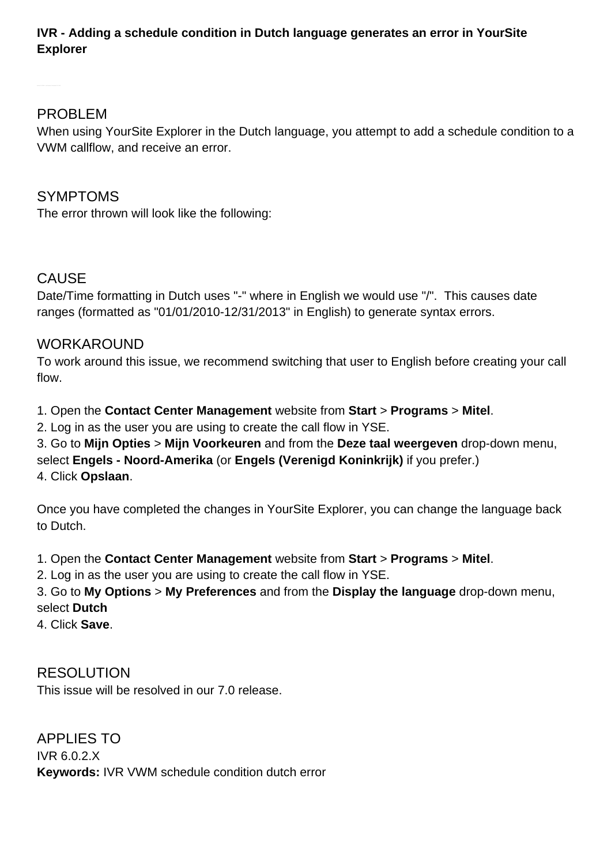#### **IVR - Adding a schedule condition in Dutch language generates an error in YourSite Explorer**

## PROBLEM

When using YourSite Explorer in the Dutch language, you attempt to add a schedule condition to a VWM callflow, and receive an error.

# SYMPTOMS

The error thrown will look like the following:

# **CAUSE**

Date/Time formatting in Dutch uses "-" where in English we would use "/". This causes date ranges (formatted as "01/01/2010-12/31/2013" in English) to generate syntax errors.

## **WORKAROUND**

To work around this issue, we recommend switching that user to English before creating your call flow.

1. Open the **Contact Center Management** website from **Start** > **Programs** > **Mitel**.

2. Log in as the user you are using to create the call flow in YSE.

3. Go to **Mijn Opties** > **Mijn Voorkeuren** and from the **Deze taal weergeven** drop-down menu, select **Engels - Noord-Amerika** (or **Engels (Verenigd Koninkrijk)** if you prefer.) 4. Click **Opslaan**.

Once you have completed the changes in YourSite Explorer, you can change the language back to Dutch.

1. Open the **Contact Center Management** website from **Start** > **Programs** > **Mitel**.

2. Log in as the user you are using to create the call flow in YSE.

3. Go to **My Options** > **My Preferences** and from the **Display the language** drop-down menu, select **Dutch**

4. Click **Save**.

RESOLUTION This issue will be resolved in our 7.0 release.

APPLIES TO IVR 6.0.2.X **Keywords:** IVR VWM schedule condition dutch error